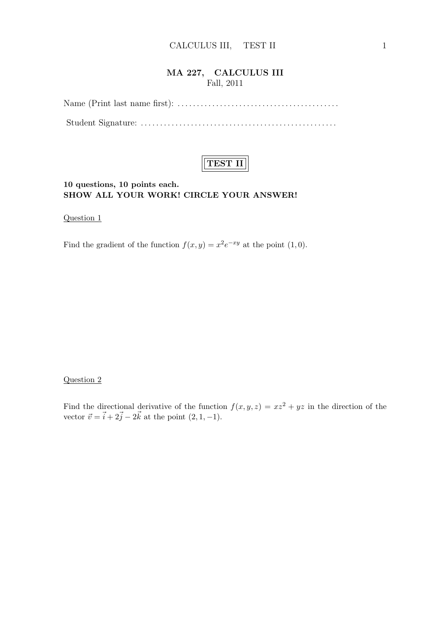## MA 227, CALCULUS III Fall, 2011

Name (Print last name first): . . . . . . . . . . . . . . . . . . . . . . . . . . . . . . . . . . . . . . . . . . Student Signature: . . . . . . . . . . . . . . . . . . . . . . . . . . . . . . . . . . . . . . . . . . . . . . . . . . .



### 10 questions, 10 points each. SHOW ALL YOUR WORK! CIRCLE YOUR ANSWER!

Question 1

Find the gradient of the function  $f(x, y) = x^2 e^{-xy}$  at the point  $(1, 0)$ .

#### Question 2

Find the directional derivative of the function  $f(x, y, z) = xz^2 + yz$  in the direction of the vector  $\vec{v} = \vec{i} + 2\vec{j} - 2\vec{k}$  at the point  $(2, 1, -1)$ .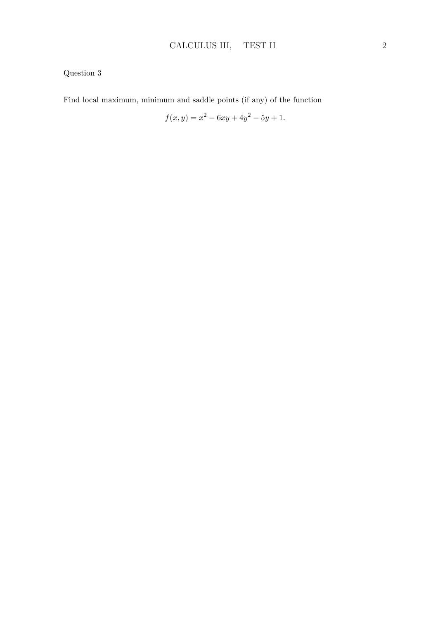Find local maximum, minimum and saddle points (if any) of the function

$$
f(x,y) = x^2 - 6xy + 4y^2 - 5y + 1.
$$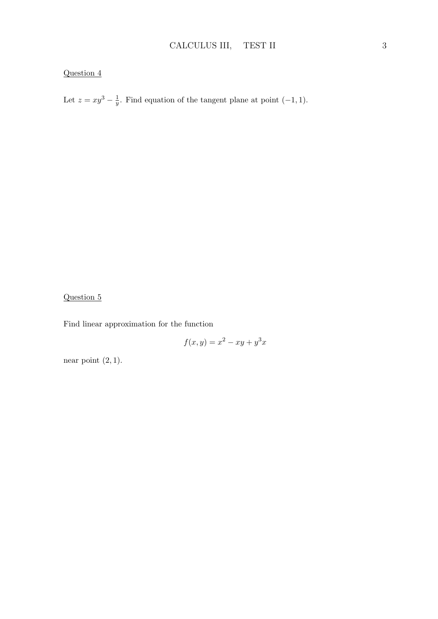Let  $z = xy^3 - \frac{1}{y}$  $\frac{1}{y}$ . Find equation of the tangent plane at point  $(-1, 1)$ .

# Question 5

Find linear approximation for the function

$$
f(x,y) = x^2 - xy + y^3x
$$

near point  $(2, 1)$ .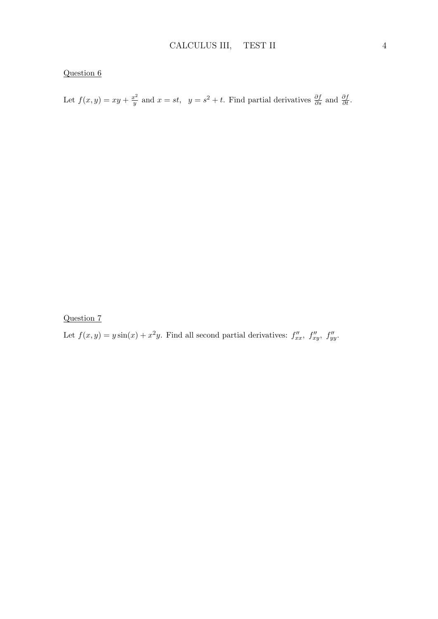Let  $f(x,y) = xy + \frac{x^2}{y}$  $\frac{v^2}{y}$  and  $x = st$ ,  $y = s^2 + t$ . Find partial derivatives  $\frac{\partial f}{\partial s}$  and  $\frac{\partial f}{\partial t}$ .

Question 7

Let  $f(x, y) = y \sin(x) + x^2y$ . Find all second partial derivatives:  $f''_{xx}$ ,  $f''_{xy}$ ,  $f''_{yy}$ .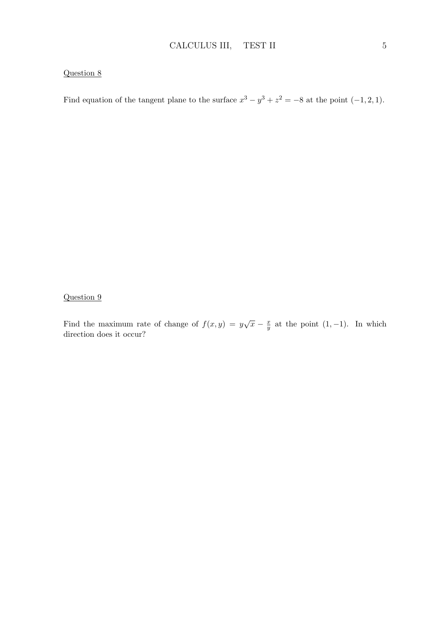Find equation of the tangent plane to the surface  $x^3 - y^3 + z^2 = -8$  at the point  $(-1, 2, 1)$ .

Question 9

Find the maximum rate of change of  $f(x, y) = y\sqrt{x} - \frac{x}{y}$  $\frac{x}{y}$  at the point  $(1, -1)$ . In which direction does it occur?